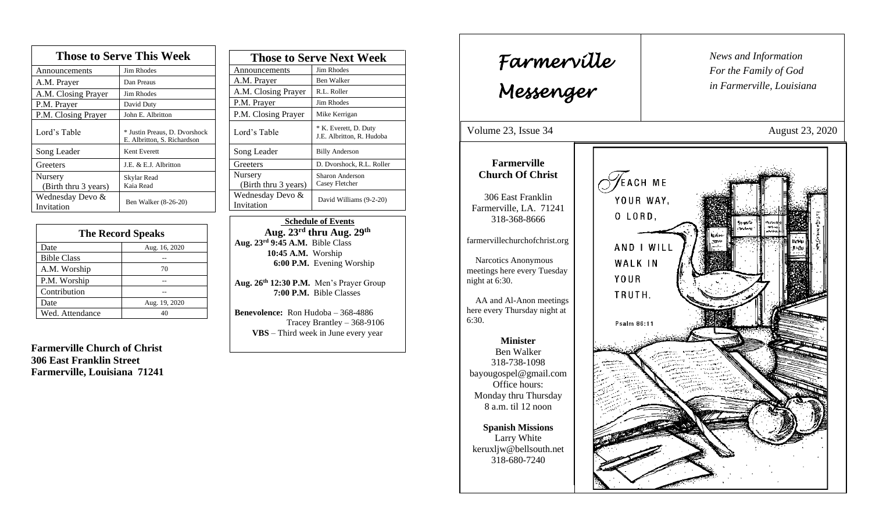| <b>Those to Serve This Week</b> |                                                              |
|---------------------------------|--------------------------------------------------------------|
| Announcements                   | Jim Rhodes                                                   |
| A.M. Prayer                     | Dan Preaus                                                   |
| A.M. Closing Prayer             | Jim Rhodes                                                   |
| P.M. Prayer                     | David Duty                                                   |
| P.M. Closing Prayer             | John E. Albritton                                            |
| Lord's Table                    | * Justin Preaus, D. Dvorshock<br>E. Albritton, S. Richardson |
| Song Leader                     | Kent Everett                                                 |
| Greeters                        | J.E. & E.J. Albritton                                        |
| Nursery<br>(Birth thru 3 years) | Skylar Read<br>Kaia Read                                     |
| Wednesday Devo &<br>Invitation  | Ben Walker (8-26-20)                                         |

| <b>The Record Speaks</b> |               |
|--------------------------|---------------|
| Date                     | Aug. 16, 2020 |
| <b>Bible Class</b>       |               |
| A.M. Worship             | 70            |
| P.M. Worship             |               |
| Contribution             |               |
| Date                     | Aug. 19, 2020 |
| Wed. Attendance          | 40            |

**Farmerville Church of Christ 306 East Franklin Street Farmerville, Louisiana 71241**

| <b>Those to Serve Next Week</b> |                                                    |
|---------------------------------|----------------------------------------------------|
| Announcements                   | Jim Rhodes                                         |
| A.M. Prayer                     | <b>Ben Walker</b>                                  |
| A.M. Closing Prayer             | R.L. Roller                                        |
| P.M. Prayer                     | Jim Rhodes                                         |
| P.M. Closing Prayer             | Mike Kerrigan                                      |
| Lord's Table                    | * K. Everett, D. Duty<br>J.E. Albritton, R. Hudoba |
| Song Leader                     | <b>Billy Anderson</b>                              |
| Greeters                        | D. Dvorshock, R.L. Roller                          |
| Nursery<br>(Birth thru 3 years) | Sharon Anderson<br>Casey Fletcher                  |
| Wednesday Devo &<br>Invitation  | David Williams (9-2-20)                            |

 **Schedule of Events Aug. 23rd thru Aug. 29 th Aug. 23rd 9:45 A.M.** Bible Class **10:45 A.M.** Worship  **6:00 P.M.** Evening Worship

**Aug. 26th 12:30 P.M.** Men's Prayer Group **7:00 P.M.** Bible Classes

**Benevolence:** Ron Hudoba – 368-4886 Tracey Brantley – 368-9106 **VBS** – Third week in June every year

*News and Information* **Farmerville**  $\parallel$  News and *For the Family of God in Farmerville, Louisiana Messenger*  Volume 23, Issue 34 August 23, 2020 , 2015 **Farmerville Church Of Christ**  $\sqrt{2}$ EACH ME 306 East Franklin YOUR WAY, Farmerville, LA. 71241 O LORD, 318-368-8666 farmervillechurchofchrist.org AND I WILL Narcotics Anonymous WALK IN meetings here every Tuesday YOUR night at 6:30. TRUTH. AA and Al-Anon meetings here every Thursday night at 6:30. Psalm 86:11 **Minister** Ben Walker 318-738-1098 bayougospel@gmail.com Office hours: Monday thru Thursday 8 a.m. til 12 noon **Spanish Missions** Larry White keruxljw@bellsouth.net 318-680-7240 

ֺֺ